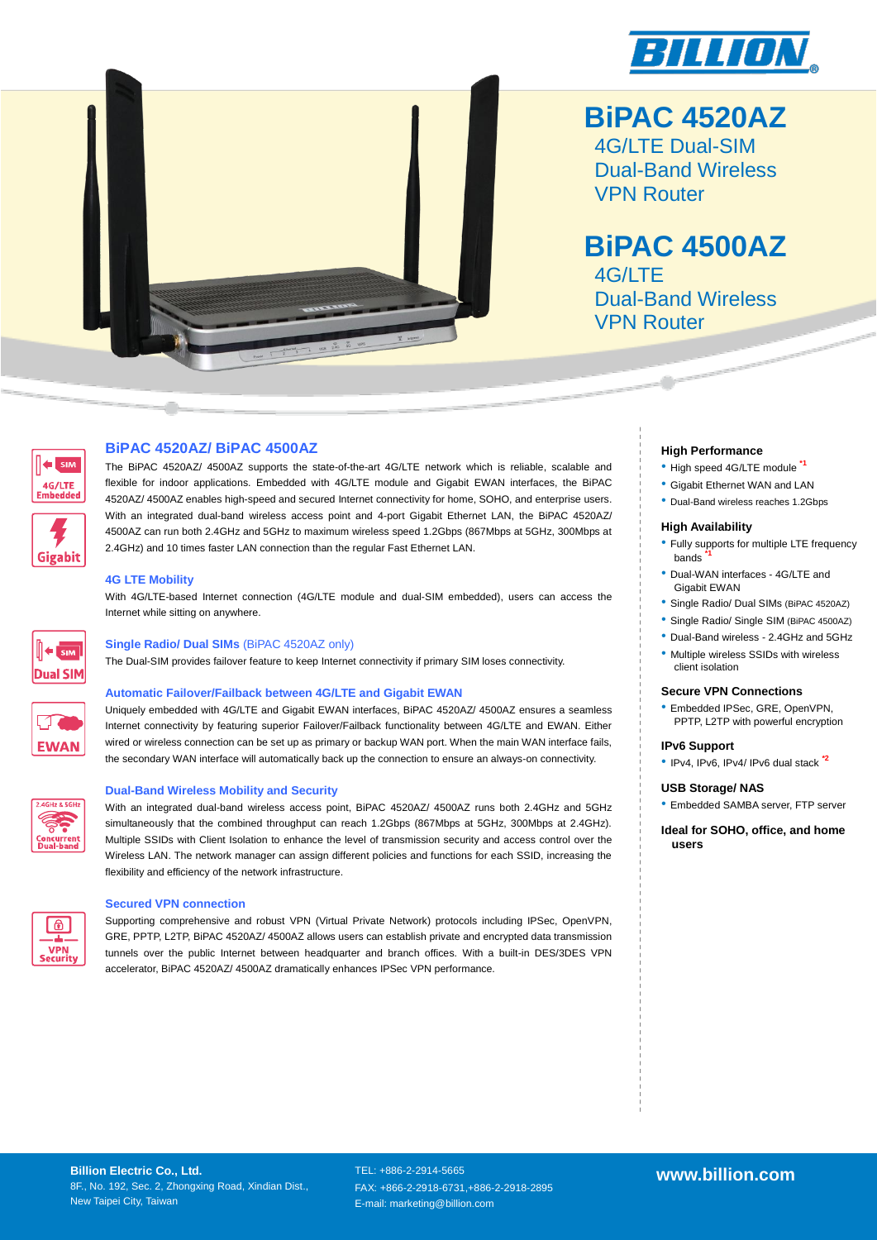



# **BiPAC 4520AZ**

4G/LTE Dual-SIM Dual-Band Wireless VPN Router

# **BiPAC 4500AZ**

4G/LTE Dual-Band Wireless VPN Router



**Gigabit** 

### **BiPAC 4520AZ/ BiPAC 4500AZ**

The BiPAC 4520AZ/ 4500AZ supports the state-of-the-art 4G/LTE network which is reliable, scalable and flexible for indoor applications. Embedded with 4G/LTE module and Gigabit EWAN interfaces, the BiPAC 4520AZ/ 4500AZ enables high-speed and secured Internet connectivity for home, SOHO, and enterprise users. With an integrated dual-band wireless access point and 4-port Gigabit Ethernet LAN, the BiPAC 4520AZ/ 4500AZ can run both 2.4GHz and 5GHz to maximum wireless speed 1.2Gbps (867Mbps at 5GHz, 300Mbps at 2.4GHz) and 10 times faster LAN connection than the regular Fast Ethernet LAN.

### **4G LTE Mobility**

With 4G/LTE-based Internet connection (4G/LTE module and dual-SIM embedded), users can access the Internet while sitting on anywhere.



### **Single Radio/ Dual SIMs** (BiPAC 4520AZ only)

The Dual-SIM provides failover feature to keep Internet connectivity if primary SIM loses connectivity.

### **Automatic Failover/Failback between 4G/LTE and Gigabit EWAN**

Uniquely embedded with 4G/LTE and Gigabit EWAN interfaces, BiPAC 4520AZ/ 4500AZ ensures a seamless Internet connectivity by featuring superior Failover/Failback functionality between 4G/LTE and EWAN. Either wired or wireless connection can be set up as primary or backup WAN port. When the main WAN interface fails, the secondary WAN interface will automatically back up the connection to ensure an always-on connectivity.



**EWAN** 

### **Dual-Band Wireless Mobility and Security**

With an integrated dual-band wireless access point. BiPAC 4520AZ/ 4500AZ runs both 2.4GHz and 5GHz simultaneously that the combined throughput can reach 1.2Gbps (867Mbps at 5GHz, 300Mbps at 2.4GHz). Multiple SSIDs with Client Isolation to enhance the level of transmission security and access control over the Wireless LAN. The network manager can assign different policies and functions for each SSID, increasing the flexibility and efficiency of the network infrastructure.



### **Secured VPN connection**

Supporting comprehensive and robust VPN (Virtual Private Network) protocols including IPSec, OpenVPN, GRE, PPTP, L2TP, BiPAC 4520AZ/ 4500AZ allows users can establish private and encrypted data transmission tunnels over the public Internet between headquarter and branch offices. With a built-in DES/3DES VPN accelerator, BiPAC 4520AZ/ 4500AZ dramatically enhances IPSec VPN performance.

### **High Performance**

- High speed 4G/LTE module **\*1**
- Gigabit Ethernet WAN and LAN
- Dual-Band wireless reaches 1.2Gbps

### **High Availability**

- Fully supports for multiple LTE frequency bands **\*1**
- Dual-WAN interfaces 4G/LTE and Gigabit EWAN
- Single Radio/ Dual SIMs (BiPAC 4520AZ)
- Single Radio/ Single SIM (BiPAC 4500AZ) • Dual-Band wireless - 2.4GHz and 5GHz
- Multiple wireless SSIDs with wireless client isolation

### **Secure VPN Connections**

• Embedded IPSec, GRE, OpenVPN, PPTP, L2TP with powerful encryption

### **IPv6 Support**

• IPv4, IPv6, IPv4/ IPv6 dual stack **\*2**

### **USB Storage/ NAS**

• Embedded SAMBA server, FTP server

**Ideal for SOHO, office, and home users**

TEL: +886-2-2914-5665 FAX: +866-2-2918-6731,+886-2-2918-2895 E-mail: marketing@billion.com